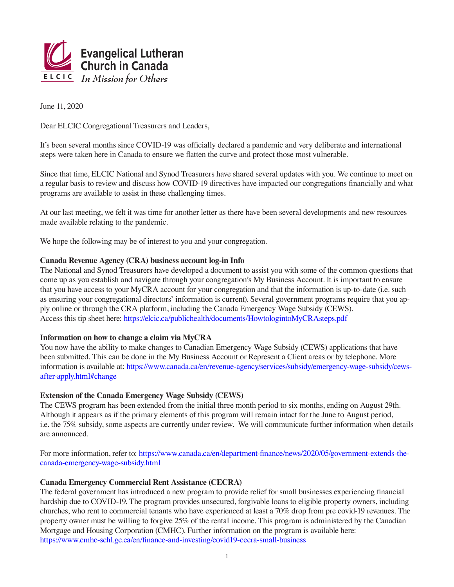

June 11, 2020

Dear ELCIC Congregational Treasurers and Leaders,

It's been several months since COVID-19 was officially declared a pandemic and very deliberate and international steps were taken here in Canada to ensure we flatten the curve and protect those most vulnerable.

Since that time, ELCIC National and Synod Treasurers have shared several updates with you. We continue to meet on a regular basis to review and discuss how COVID-19 directives have impacted our congregations financially and what programs are available to assist in these challenging times.

At our last meeting, we felt it was time for another letter as there have been several developments and new resources made available relating to the pandemic.

We hope the following may be of interest to you and your congregation.

# **Canada Revenue Agency (CRA) business account log-in Info**

The National and Synod Treasurers have developed a document to assist you with some of the common questions that come up as you establish and navigate through your congregation's My Business Account. It is important to ensure that you have access to your MyCRA account for your congregation and that the information is up-to-date (i.e. such as ensuring your congregational directors' information is current). Several government programs require that you apply online or through the CRA platform, including the Canada Emergency Wage Subsidy (CEWS). Access this tip sheet here: https://elcic.ca/publichealth/documents/HowtologintoMyCRAsteps.pdf

# **Information on how to change a claim via MyCRA**

You now have the ability to make changes to Canadian Emergency Wage Subsidy (CEWS) applications that have been submitted. This can be done in the My Business Account or Represent a Client areas or by telephone. More information is available at: https://www.canada.ca/en/revenue-agency/services/subsidy/emergency-wage-subsidy/cewsafter-apply.html#change

# **Extension of the Canada Emergency Wage Subsidy (CEWS)**

The CEWS program has been extended from the initial three month period to six months, ending on August 29th. Although it appears as if the primary elements of this program will remain intact for the June to August period, i.e. the 75% subsidy, some aspects are currently under review. We will communicate further information when details are announced.

For more information, refer to: https://www.canada.ca/en/department-finance/news/2020/05/government-extends-thecanada-emergency-wage-subsidy.html

#### **Canada Emergency Commercial Rent Assistance (CECRA)**

The federal government has introduced a new program to provide relief for small businesses experiencing financial hardship due to COVID-19. The program provides unsecured, forgivable loans to eligible property owners, including churches, who rent to commercial tenants who have experienced at least a 70% drop from pre covid-19 revenues. The property owner must be willing to forgive 25% of the rental income. This program is administered by the Canadian Mortgage and Housing Corporation (CMHC). Further information on the program is available here: https://www.cmhc-schl.gc.ca/en/finance-and-investing/covid19-cecra-small-business